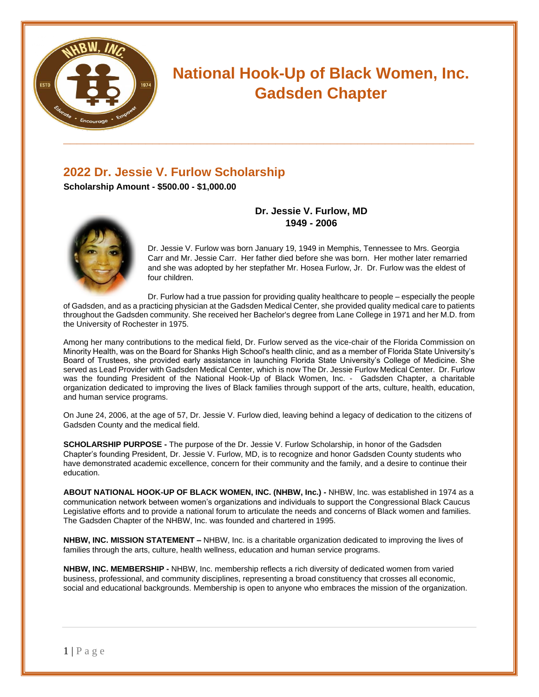

# **National Hook-Up of Black Women, Inc. Gadsden Chapter**

## **2022 Dr. Jessie V. Furlow Scholarship**

**Scholarship Amount - \$500.00 - \$1,000.00**

#### **Dr. Jessie V. Furlow, MD 1949 - 2006**

Dr. Jessie V. Furlow was born January 19, 1949 in Memphis, Tennessee to Mrs. Georgia Carr and Mr. Jessie Carr. Her father died before she was born. Her mother later remarried and she was adopted by her stepfather Mr. Hosea Furlow, Jr. Dr. Furlow was the eldest of four children.

Dr. Furlow had a true passion for providing quality healthcare to people – especially the people of Gadsden, and as a practicing physician at the Gadsden Medical Center, she provided quality medical care to patients throughout the Gadsden community. She received her Bachelor's degree from Lane College in 1971 and her M.D. from the University of Rochester in 1975.

Among her many contributions to the medical field, Dr. Furlow served as the vice-chair of the Florida Commission on Minority Health, was on the Board for Shanks High School's health clinic, and as a member of Florida State University's Board of Trustees, she provided early assistance in launching Florida State University's College of Medicine. She served as Lead Provider with Gadsden Medical Center, which is now The Dr. Jessie Furlow Medical Center. Dr. Furlow was the founding President of the National Hook-Up of Black Women, Inc. - Gadsden Chapter, a charitable organization dedicated to improving the lives of Black families through support of the arts, culture, health, education, and human service programs.

On June 24, 2006, at the age of 57, Dr. Jessie V. Furlow died, leaving behind a legacy of dedication to the citizens of Gadsden County and the medical field.

**SCHOLARSHIP PURPOSE -** The purpose of the Dr. Jessie V. Furlow Scholarship, in honor of the Gadsden Chapter's founding President, Dr. Jessie V. Furlow, MD, is to recognize and honor Gadsden County students who have demonstrated academic excellence, concern for their community and the family, and a desire to continue their education.

**ABOUT NATIONAL HOOK-UP OF BLACK WOMEN, INC. (NHBW, Inc.) -** NHBW, Inc. was established in 1974 as a communication network between women's organizations and individuals to support the Congressional Black Caucus Legislative efforts and to provide a national forum to articulate the needs and concerns of Black women and families. The Gadsden Chapter of the NHBW, Inc. was founded and chartered in 1995.

**NHBW, INC. MISSION STATEMENT –** NHBW, Inc. is a charitable organization dedicated to improving the lives of families through the arts, culture, health wellness, education and human service programs.

**NHBW, INC. MEMBERSHIP -** NHBW, Inc. membership reflects a rich diversity of dedicated women from varied business, professional, and community disciplines, representing a broad constituency that crosses all economic, social and educational backgrounds. Membership is open to anyone who embraces the mission of the organization.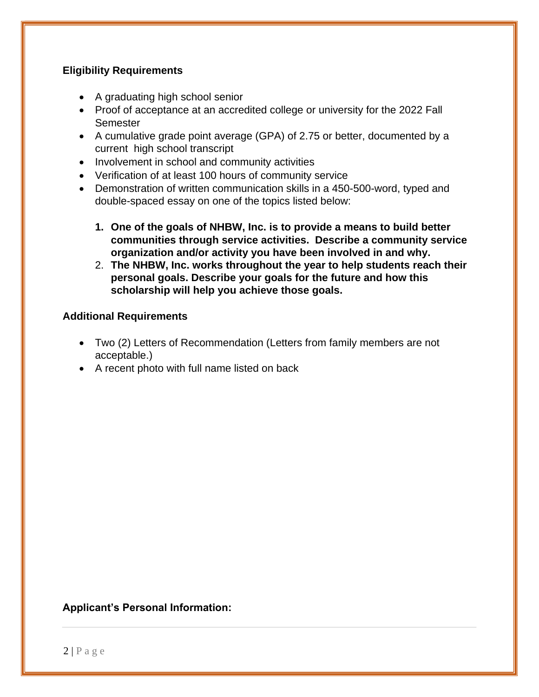### **Eligibility Requirements**

- A graduating high school senior
- Proof of acceptance at an accredited college or university for the 2022 Fall **Semester**
- A cumulative grade point average (GPA) of 2.75 or better, documented by a current high school transcript
- Involvement in school and community activities
- Verification of at least 100 hours of community service
- Demonstration of written communication skills in a 450-500-word, typed and double-spaced essay on one of the topics listed below:
	- **1. One of the goals of NHBW, Inc. is to provide a means to build better communities through service activities. Describe a community service organization and/or activity you have been involved in and why.**
	- 2. **The NHBW, Inc. works throughout the year to help students reach their personal goals. Describe your goals for the future and how this scholarship will help you achieve those goals.**

### **Additional Requirements**

- Two (2) Letters of Recommendation (Letters from family members are not acceptable.)
- A recent photo with full name listed on back

#### **Applicant's Personal Information:**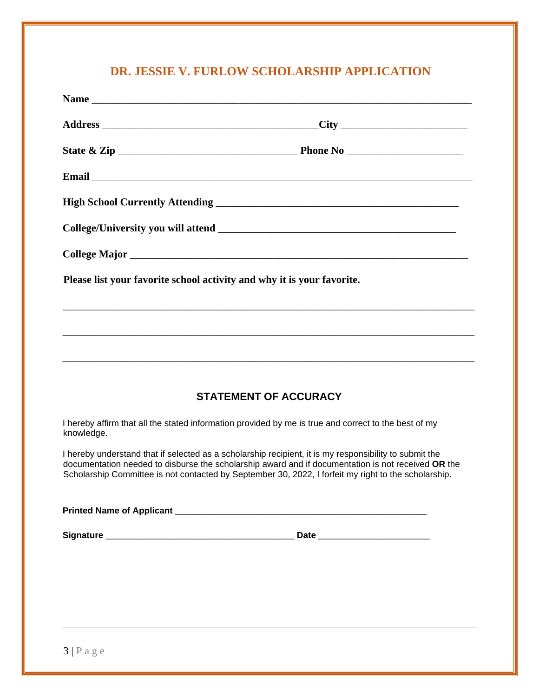# **DR. JESSIE V. FURLOW SCHOLARSHIP APPLICATION**

| Please list your favorite school activity and why it is your favorite.                                                                                                                                                                                                                                               |  |
|----------------------------------------------------------------------------------------------------------------------------------------------------------------------------------------------------------------------------------------------------------------------------------------------------------------------|--|
|                                                                                                                                                                                                                                                                                                                      |  |
| ,我们也不能在这里的人,我们也不能在这里的人,我们也不能在这里的人,我们也不能在这里的人,我们也不能在这里的人,我们也不能在这里的人,我们也不能在这里的人,我们也                                                                                                                                                                                                                                    |  |
|                                                                                                                                                                                                                                                                                                                      |  |
| <b>STATEMENT OF ACCURACY</b>                                                                                                                                                                                                                                                                                         |  |
| I hereby affirm that all the stated information provided by me is true and correct to the best of my<br>knowledge.                                                                                                                                                                                                   |  |
| I hereby understand that if selected as a scholarship recipient, it is my responsibility to submit the<br>documentation needed to disburse the scholarship award and if documentation is not received OR the<br>Scholarship Committee is not contacted by September 30, 2022, I forfeit my right to the scholarship. |  |
|                                                                                                                                                                                                                                                                                                                      |  |
|                                                                                                                                                                                                                                                                                                                      |  |
|                                                                                                                                                                                                                                                                                                                      |  |
|                                                                                                                                                                                                                                                                                                                      |  |
|                                                                                                                                                                                                                                                                                                                      |  |